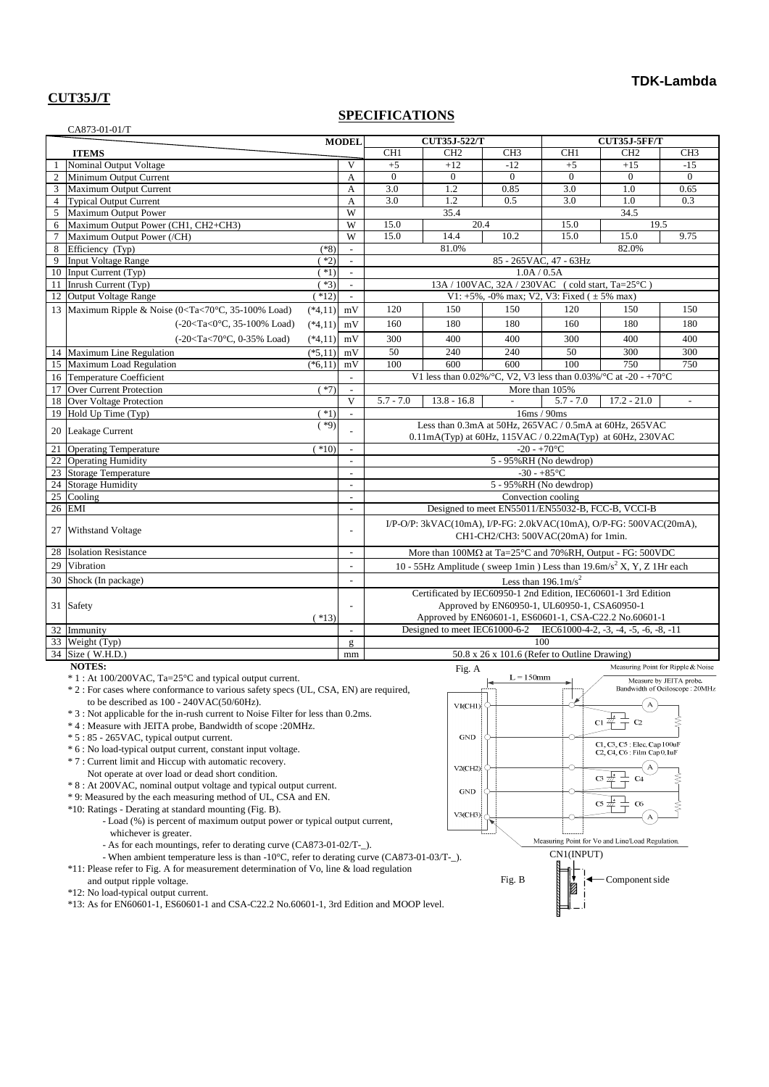#### **CUT35J/T**

#### **SPECIFICATIONS**

|                | CA873-01-01/T                                                                                                                                                                                 |           |                             |                                                                                                                   |                                                                     |                 |                                                   |                     |                                    |
|----------------|-----------------------------------------------------------------------------------------------------------------------------------------------------------------------------------------------|-----------|-----------------------------|-------------------------------------------------------------------------------------------------------------------|---------------------------------------------------------------------|-----------------|---------------------------------------------------|---------------------|------------------------------------|
|                |                                                                                                                                                                                               |           | <b>MODEL</b>                |                                                                                                                   | <b>CUT35J-522/T</b>                                                 |                 |                                                   | <b>CUT35J-5FF/T</b> |                                    |
|                | <b>ITEMS</b>                                                                                                                                                                                  |           |                             | CH <sub>1</sub>                                                                                                   | CH <sub>2</sub>                                                     | CH <sub>3</sub> | CH <sub>1</sub>                                   | CH <sub>2</sub>     | CH <sub>3</sub>                    |
|                | Nominal Output Voltage                                                                                                                                                                        |           | V                           | $+5$                                                                                                              | $+12$                                                               | $-12$           | $+5$                                              | $+15$               | $-15$                              |
| $\overline{2}$ | Minimum Output Current                                                                                                                                                                        |           | A                           | $\Omega$                                                                                                          | $\mathbf{0}$                                                        | $\overline{0}$  | $\Omega$                                          | $\overline{0}$      | $\overline{0}$                     |
|                | 3 Maximum Output Current                                                                                                                                                                      |           | A                           | 3.0                                                                                                               | 1.2                                                                 | 0.85            | 3.0                                               | 1.0                 | 0.65                               |
| $\overline{4}$ | <b>Typical Output Current</b>                                                                                                                                                                 |           | A                           | $\overline{3.0}$                                                                                                  | 1.2                                                                 | 0.5             | 3.0                                               | 1.0                 | 0.3                                |
| 5              | Maximum Output Power                                                                                                                                                                          |           | W                           |                                                                                                                   | 35.4                                                                |                 |                                                   | 34.5                |                                    |
| 6              | Maximum Output Power (CH1, CH2+CH3)                                                                                                                                                           |           | W                           | 15.0                                                                                                              | 20.4                                                                |                 | 15.0                                              | 19.5                |                                    |
| $\tau$         | Maximum Output Power (/CH)                                                                                                                                                                    |           | W                           | 15.0                                                                                                              | 14.4                                                                | 10.2            | 15.0                                              | 15.0                | 9.75                               |
| 8              | Efficiency (Typ)                                                                                                                                                                              | $(*8)$    | $\overline{\phantom{a}}$    |                                                                                                                   | 81.0%                                                               |                 |                                                   | 82.0%               |                                    |
| 9              | <b>Input Voltage Range</b>                                                                                                                                                                    | $(*2)$    | $\overline{a}$              |                                                                                                                   |                                                                     |                 | 85 - 265 VAC, 47 - 63 Hz                          |                     |                                    |
|                | 10 Input Current (Typ)                                                                                                                                                                        | $(*1)$    | $\mathbf{r}$                |                                                                                                                   |                                                                     | 1.0A / 0.5A     |                                                   |                     |                                    |
|                | 11 Inrush Current (Typ)                                                                                                                                                                       | $(*3)$    | $\mathcal{L}_{\mathcal{A}}$ |                                                                                                                   |                                                                     |                 | 13A / 100VAC, 32A / 230VAC (cold start, Ta=25°C)  |                     |                                    |
|                | 12 Output Voltage Range                                                                                                                                                                       | $(*12)$   | $\blacksquare$              |                                                                                                                   |                                                                     |                 | V1: +5%, -0% max; V2, V3: Fixed ( $\pm$ 5% max)   |                     |                                    |
|                | 13 Maximum Ripple & Noise (0 <ta<70°c, 35-100%="" load)<="" td=""><td><math>(*4,11)</math></td><td>mV</td><td>120</td><td>150</td><td>150</td><td>120</td><td>150</td><td>150</td></ta<70°c,> | $(*4,11)$ | mV                          | 120                                                                                                               | 150                                                                 | 150             | 120                                               | 150                 | 150                                |
|                | (-20 <ta<0°c, 35-100%="" load)<="" td=""><td><math>(*4.11)</math></td><td>mV</td><td>160</td><td>180</td><td>180</td><td>160</td><td>180</td><td>180</td></ta<0°c,>                           | $(*4.11)$ | mV                          | 160                                                                                                               | 180                                                                 | 180             | 160                                               | 180                 | 180                                |
|                | (-20 <ta<70°c, 0-35%="" load)<="" td=""><td><math>(*4,11)</math></td><td>mV</td><td>300</td><td>400</td><td>400</td><td>300</td><td>400</td><td>400</td></ta<70°c,>                           | $(*4,11)$ | mV                          | 300                                                                                                               | 400                                                                 | 400             | 300                                               | 400                 | 400                                |
|                | 14 Maximum Line Regulation                                                                                                                                                                    | $(*5,11)$ | mV                          | 50                                                                                                                | 240                                                                 | 240             | 50                                                | 300                 | 300                                |
|                | 15 Maximum Load Regulation                                                                                                                                                                    | $(*6,11)$ | mV                          | 100                                                                                                               | 600                                                                 | 600             | 100                                               | 750                 | 750                                |
|                | 16 Temperature Coefficient                                                                                                                                                                    |           | $\overline{\phantom{a}}$    |                                                                                                                   | V1 less than 0.02%/°C, V2, V3 less than 0.03%/°C at -20 - +70°C     |                 |                                                   |                     |                                    |
| 17             | <b>Over Current Protection</b>                                                                                                                                                                | $(*7)$    | $\blacksquare$              | More than 105%                                                                                                    |                                                                     |                 |                                                   |                     |                                    |
|                | 18 Over Voltage Protection                                                                                                                                                                    |           | V                           | $5.7 - 7.0$                                                                                                       | $13.8 - 16.8$                                                       |                 | $5.7 - 7.0$                                       | $17.2 - 21.0$       |                                    |
| 19             | Hold Up Time (Typ)                                                                                                                                                                            | $*1)$     | $\mathcal{L}^{\mathcal{A}}$ |                                                                                                                   |                                                                     |                 | 16ms / 90ms                                       |                     |                                    |
|                |                                                                                                                                                                                               | $(*9)$    |                             |                                                                                                                   | Less than 0.3mA at 50Hz, 265VAC / 0.5mA at 60Hz, 265VAC             |                 |                                                   |                     |                                    |
|                | 20 Leakage Current                                                                                                                                                                            |           |                             |                                                                                                                   | 0.11mA(Typ) at 60Hz, 115VAC / 0.22mA(Typ) at 60Hz, 230VAC           |                 |                                                   |                     |                                    |
| 21             | <b>Operating Temperature</b>                                                                                                                                                                  | $(*10)$   | $\mathcal{L}$               |                                                                                                                   |                                                                     | $-20 - +70$ °C  |                                                   |                     |                                    |
| 22             | <b>Operating Humidity</b>                                                                                                                                                                     |           |                             |                                                                                                                   |                                                                     |                 | 5 - 95%RH (No dewdrop)                            |                     |                                    |
|                | 23 Storage Temperature                                                                                                                                                                        |           | $\overline{\phantom{a}}$    |                                                                                                                   |                                                                     |                 | $-30 - +85$ °C                                    |                     |                                    |
|                | 24 Storage Humidity                                                                                                                                                                           |           | $\overline{a}$              |                                                                                                                   |                                                                     |                 | 5 - 95%RH (No dewdrop)                            |                     |                                    |
| 25             | Cooling                                                                                                                                                                                       |           | $\sim$                      |                                                                                                                   |                                                                     |                 | Convection cooling                                |                     |                                    |
| 26             | <b>EMI</b>                                                                                                                                                                                    |           | $\overline{\phantom{a}}$    |                                                                                                                   |                                                                     |                 | Designed to meet EN55011/EN55032-B, FCC-B, VCCI-B |                     |                                    |
|                |                                                                                                                                                                                               |           |                             |                                                                                                                   | I/P-O/P: 3kVAC(10mA), I/P-FG: 2.0kVAC(10mA), O/P-FG: 500VAC(20mA),  |                 |                                                   |                     |                                    |
| 27             | <b>Withstand Voltage</b>                                                                                                                                                                      |           | $\overline{a}$              |                                                                                                                   |                                                                     |                 | CH1-CH2/CH3: 500VAC(20mA) for 1min.               |                     |                                    |
| 28             | <b>Isolation Resistance</b>                                                                                                                                                                   |           | $\overline{\phantom{a}}$    | More than $100M\Omega$ at Ta=25°C and 70%RH, Output - FG: 500VDC                                                  |                                                                     |                 |                                                   |                     |                                    |
| 29             | Vibration                                                                                                                                                                                     |           | $\mathcal{L}$               |                                                                                                                   |                                                                     |                 |                                                   |                     |                                    |
| 30             | Shock (In package)                                                                                                                                                                            |           | $\blacksquare$              | 10 - 55Hz Amplitude (sweep 1min) Less than $19.6 \text{m/s}^2$ X, Y, Z 1Hr each<br>Less than $196.1 \text{m/s}^2$ |                                                                     |                 |                                                   |                     |                                    |
|                |                                                                                                                                                                                               |           |                             | Certificated by IEC60950-1 2nd Edition, IEC60601-1 3rd Edition                                                    |                                                                     |                 |                                                   |                     |                                    |
|                | 31 Safety                                                                                                                                                                                     |           |                             | Approved by EN60950-1, UL60950-1, CSA60950-1                                                                      |                                                                     |                 |                                                   |                     |                                    |
|                |                                                                                                                                                                                               | $(*13)$   |                             |                                                                                                                   | Approved by EN60601-1, ES60601-1, CSA-C22.2 No.60601-1              |                 |                                                   |                     |                                    |
|                | 32 Immunity                                                                                                                                                                                   |           |                             |                                                                                                                   | Designed to meet IEC61000-6-2 IEC61000-4-2, -3, -4, -5, -6, -8, -11 |                 |                                                   |                     |                                    |
|                | 33 Weight (Typ)                                                                                                                                                                               |           | $\mathbf{g}$                |                                                                                                                   |                                                                     |                 | 100                                               |                     |                                    |
|                | 34 Size (W.H.D.)                                                                                                                                                                              |           | mm                          |                                                                                                                   |                                                                     |                 | 50.8 x 26 x 101.6 (Refer to Outline Drawing)      |                     |                                    |
|                | <b>NOTES:</b>                                                                                                                                                                                 |           |                             |                                                                                                                   | Fig. A                                                              |                 |                                                   |                     | Measuring Point for Ripple & Noise |
|                | * 1 : At 100/200VAC, Ta=25°C and typical output current.                                                                                                                                      |           |                             |                                                                                                                   |                                                                     | $L = 150$ mm    | ►                                                 |                     | Measure by JEITA probe.            |
|                |                                                                                                                                                                                               |           |                             |                                                                                                                   |                                                                     | ┝═              |                                                   |                     |                                    |

\* 2 : For cases where conformance to various safety specs (UL, CSA, EN) are required, to be described as  $100 - 240 \text{VAC}(50/60 \text{Hz})$ .

\* 3 : Not applicable for the in-rush current to Noise Filter for less than 0.2ms.

- \* 4 : Measure with JEITA probe, Bandwidth of scope :20MHz.
- \* 5 : 85 265VAC, typical output current.
- \* 6 : No load-typical output current, constant input voltage.
- \* 7 : Current limit and Hiccup with automatic recovery.
	- Not operate at over load or dead short condition.
- \* 8 : At 200VAC, nominal output voltage and typical output current.
- \* 9: Measured by the each measuring method of UL, CSA and EN.
- \*10: Ratings Derating at standard mounting (Fig. B).
	- Load (%) is percent of maximum output power or typical output current,
	- whichever is greater.
	- As for each mountings, refer to derating curve (CA873-01-02/T-\_).
	- When ambient temperature less is than -10°C, refer to derating curve (CA873-01-03/T-\_).

\*11: Please refer to Fig. A for measurement determination of Vo, line & load regulation

and output ripple voltage.

\*12: No load-typical output current.

\*13: As for EN60601-1, ES60601-1 and CSA-C22.2 No.60601-1, 3rd Edition and MOOP level.

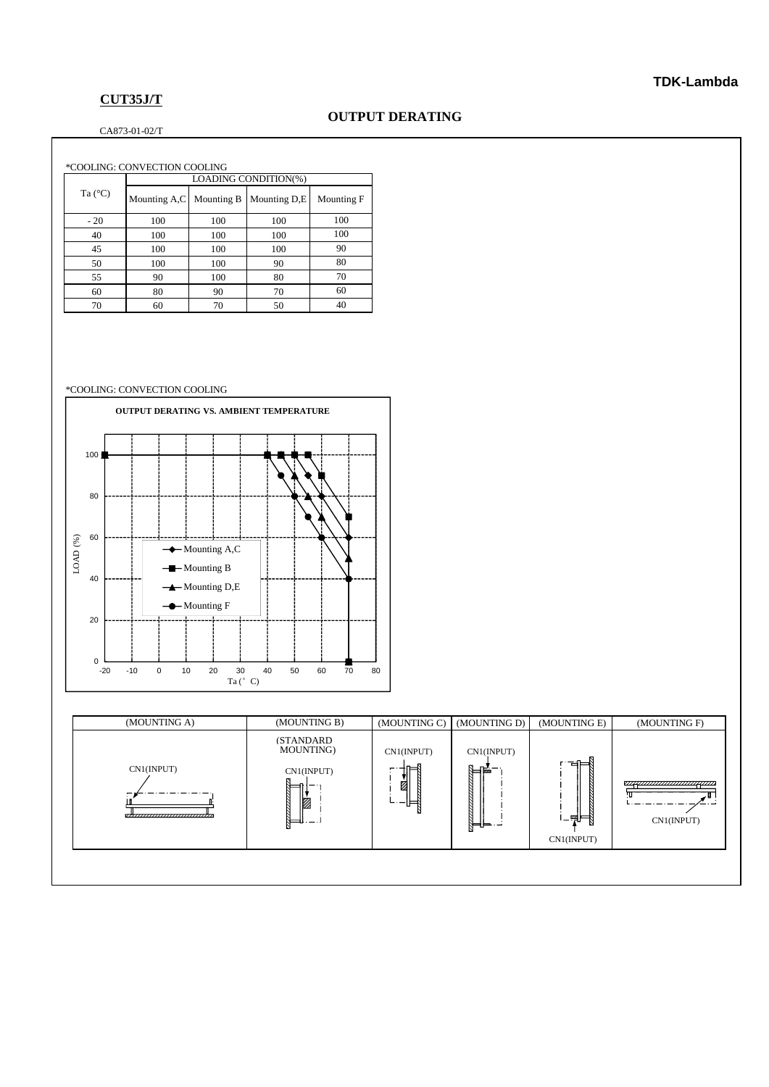### **CUT35J/T**

#### CA873-01-02/T

| *COOLING: CONVECTION COOLING |                      |            |              |            |  |  |  |
|------------------------------|----------------------|------------|--------------|------------|--|--|--|
|                              | LOADING CONDITION(%) |            |              |            |  |  |  |
| Ta $(^{\circ}C)$             | Mounting A,C         | Mounting B | Mounting D,E | Mounting F |  |  |  |
| $-20$                        | 100                  | 100        | 100          | 100        |  |  |  |
| 40                           | 100                  | 100        | 100          | 100        |  |  |  |
| 45                           | 100                  | 100        | 100          | 90         |  |  |  |
| 50                           | 100                  | 100        | 90           | 80         |  |  |  |
| 55                           | 90                   | 100        | 80           | 70         |  |  |  |
| 60                           | 80                   | 90         | 70           | 60         |  |  |  |
| 70                           | 60                   | 70         | 50           | 40         |  |  |  |

#### \*COOLING: CONVECTION COOLING



| (MOUNTING A)                                 | (MOUNTING B)                                           | (MOUNTING C)                | (MOUNTING D)                | (MOUNTING E)                 | (MOUNTING F) |
|----------------------------------------------|--------------------------------------------------------|-----------------------------|-----------------------------|------------------------------|--------------|
| CN1(INPUT)<br>,,,,,,,,,,,,,,,,,,,,,,,,,,,,,, | <b>(STANDARD)</b><br>MOUNTING)<br>CN1(INPUT)<br>Ø<br>- | CN1(INPUT)<br>⊫<br>ż<br>'⊔⊟ | CN1(INPUT)<br>⊫⊮<br>╠═╝═╌╌╛ | 격보<br>।⊥न्ना≕∬<br>CN1(INPUT) | CN1(INPUT)   |
|                                              |                                                        |                             |                             |                              |              |